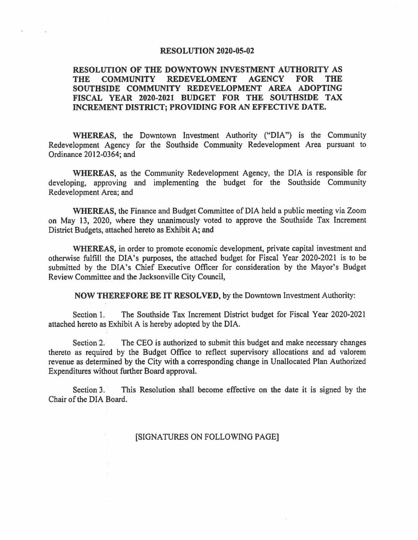## **RESOLUTION 2020-05-02**

## **RESOLUTION OF THE DOWNTOWN INVESTMENT AUTHORITY AS**  THE COMMUNITY REDEVELOMENT AGENCY FOR **SOUTHSIDE COMMUNITY REDEVELOPMENT AREA ADOPTING FISCAL YEAR 2020-2021 BUDGET FOR THE SOUTHSIDE TAX INCREMENT DISTRICT; PROVIDING FOR AN EFFECTIVE DATE.**

**WHEREAS,** the Downtown Investment Authority ("DIA") is the Community Redevelopment Agency for the Southside Community Redevelopment Area pursuant to Ordinance 2012-0364; and

**WHEREAS,** as the Community Redevelopment Agency, the DIA is responsible for developing, approving and implementing the budget for the Southside Community Redevelopment Area; and

**WHEREAS,** the Finance and Budget Committee of DIA held a public meeting via Zoom on May 13, 2020, where they unanimously voted to approve the Southside Tax Increment District Budgets, attached hereto as Exhibit A; and

**WHEREAS,** in order to promote economic development, private capital investment and otherwise fulfill the DIA's purposes, the attached budget for Fiscal Year 2020-2021 is to be submitted by the DIA's Chief Executive Officer for consideration by the Mayor's Budget Review Committee and the Jacksonville City Council,

**NOW THEREFORE BE IT RESOLVED,** by the Downtown Investment Authority:

Section 1. The Southside Tax Increment District budget for Fiscal Year 2020-2021 attached hereto as Exhibit A is hereby adopted by the DIA.

'

Section 2. The CEO is authorized to submit this budget and make necessary changes thereto as required by the Budget Office to reflect supervisory allocations and ad valorem revenue as detennined by the City with a corresponding change in Unallocated Plan Authorized Expenditures without further Board approval.

Section 3. This Resolution shall become effective on the date it is signed by the Chair of the DIA Board.

[SIGNATURES ON FOLLOWING PAGE]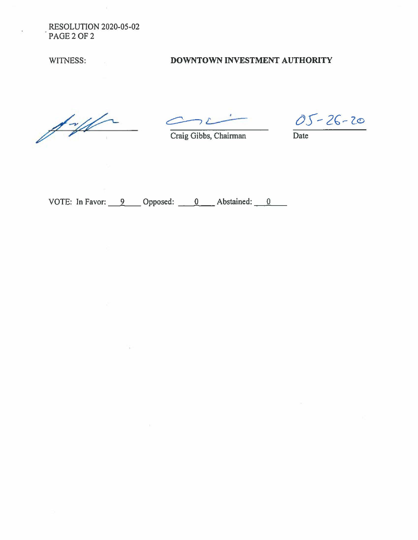RESOLUTION 2020-05-02 PAGE2OF2

## WITNESS: **DOWNTOWN INVESTMENT AUTHORITY**

 $\frac{1}{\sqrt{2\pi}}$ 

Craig Gibbs, Chairman Date

 $05 - 26 - 20$ 

VOTE: In Favor:  $\frac{9}{2}$  Opposed:  $\frac{0}{2}$  Abstained:  $\frac{0}{2}$